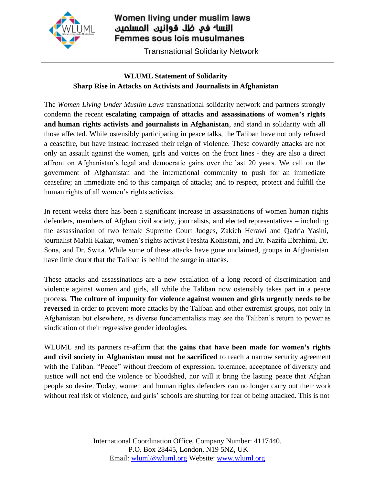

## Women living under muslim laws النسا<sup>ء</sup> في ظل قوانين المسلمين Femmes sous lois musulmanes

Transnational Solidarity Network

## **WLUML Statement of Solidarity Sharp Rise in Attacks on Activists and Journalists in Afghanistan**

The *Women Living Under Muslim Laws* transnational solidarity network and partners strongly condemn the recent **escalating campaign of attacks and assassinations of women's rights and human rights activists and journalists in Afghanistan**, and stand in solidarity with all those affected. While ostensibly participating in peace talks, the Taliban have not only refused a ceasefire, but have instead increased their reign of violence. These cowardly attacks are not only an assault against the women, girls and voices on the front lines - they are also a direct affront on Afghanistan's legal and democratic gains over the last 20 years. We call on the government of Afghanistan and the international community to push for an immediate ceasefire; an immediate end to this campaign of attacks; and to respect, protect and fulfill the human rights of all women's rights activists.

In recent weeks there has been a significant increase in assassinations of women human rights defenders, members of Afghan civil society, journalists, and elected representatives – including the assassination of two female Supreme Court Judges, Zakieh Herawi and Qadria Yasini, journalist Malali Kakar, women's rights activist Freshta Kohistani, and Dr. Nazifa Ebrahimi, Dr. Sona, and Dr. Swita. While some of these attacks have gone unclaimed, groups in Afghanistan have little doubt that the Taliban is behind the surge in attacks.

These attacks and assassinations are a new escalation of a long record of discrimination and violence against women and girls, all while the Taliban now ostensibly takes part in a peace process. **The culture of impunity for violence against women and girls urgently needs to be reversed** in order to prevent more attacks by the Taliban and other extremist groups, not only in Afghanistan but elsewhere, as diverse fundamentalists may see the Taliban's return to power as vindication of their regressive gender ideologies.

WLUML and its partners re-affirm that **the gains that have been made for women's rights and civil society in Afghanistan must not be sacrificed** to reach a narrow security agreement with the Taliban. "Peace" without freedom of expression, tolerance, acceptance of diversity and justice will not end the violence or bloodshed, nor will it bring the lasting peace that Afghan people so desire. Today, women and human rights defenders can no longer carry out their work without real risk of violence, and girls' schools are shutting for fear of being attacked. This is not